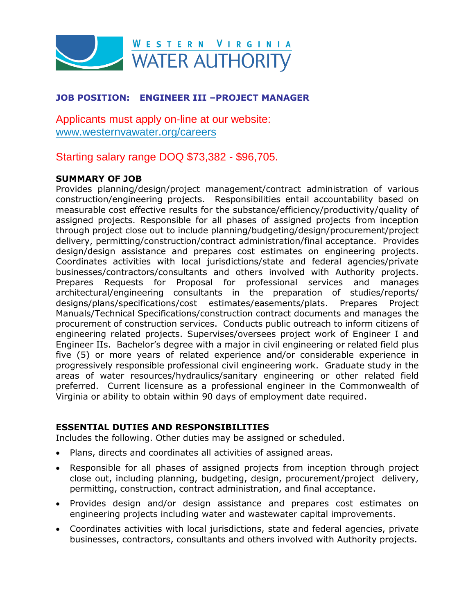

# **JOB POSITION: ENGINEER III –PROJECT MANAGER**

Applicants must apply on-line at our website: [www.westernvawater.org/careers](http://www.westernvawater.org/careers)

Starting salary range DOQ \$73,382 - \$96,705.

#### **SUMMARY OF JOB**

Provides planning/design/project management/contract administration of various construction/engineering projects. Responsibilities entail accountability based on measurable cost effective results for the substance/efficiency/productivity/quality of assigned projects. Responsible for all phases of assigned projects from inception through project close out to include planning/budgeting/design/procurement/project delivery, permitting/construction/contract administration/final acceptance. Provides design/design assistance and prepares cost estimates on engineering projects. Coordinates activities with local jurisdictions/state and federal agencies/private businesses/contractors/consultants and others involved with Authority projects. Prepares Requests for Proposal for professional services and manages architectural/engineering consultants in the preparation of studies/reports/ designs/plans/specifications/cost estimates/easements/plats. Prepares Project Manuals/Technical Specifications/construction contract documents and manages the procurement of construction services. Conducts public outreach to inform citizens of engineering related projects. Supervises/oversees project work of Engineer I and Engineer IIs. Bachelor's degree with a major in civil engineering or related field plus five (5) or more years of related experience and/or considerable experience in progressively responsible professional civil engineering work. Graduate study in the areas of water resources/hydraulics/sanitary engineering or other related field preferred. Current licensure as a professional engineer in the Commonwealth of Virginia or ability to obtain within 90 days of employment date required.

#### **ESSENTIAL DUTIES AND RESPONSIBILITIES**

Includes the following. Other duties may be assigned or scheduled.

- Plans, directs and coordinates all activities of assigned areas.
- Responsible for all phases of assigned projects from inception through project close out, including planning, budgeting, design, procurement/project delivery, permitting, construction, contract administration, and final acceptance.
- Provides design and/or design assistance and prepares cost estimates on engineering projects including water and wastewater capital improvements.
- Coordinates activities with local jurisdictions, state and federal agencies, private businesses, contractors, consultants and others involved with Authority projects.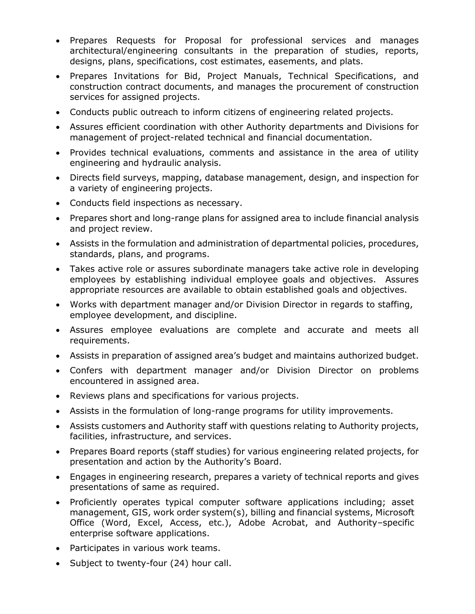- Prepares Requests for Proposal for professional services and manages architectural/engineering consultants in the preparation of studies, reports, designs, plans, specifications, cost estimates, easements, and plats.
- Prepares Invitations for Bid, Project Manuals, Technical Specifications, and construction contract documents, and manages the procurement of construction services for assigned projects.
- Conducts public outreach to inform citizens of engineering related projects.
- Assures efficient coordination with other Authority departments and Divisions for management of project-related technical and financial documentation.
- Provides technical evaluations, comments and assistance in the area of utility engineering and hydraulic analysis.
- Directs field surveys, mapping, database management, design, and inspection for a variety of engineering projects.
- Conducts field inspections as necessary.
- Prepares short and long-range plans for assigned area to include financial analysis and project review.
- Assists in the formulation and administration of departmental policies, procedures, standards, plans, and programs.
- Takes active role or assures subordinate managers take active role in developing employees by establishing individual employee goals and objectives. Assures appropriate resources are available to obtain established goals and objectives.
- Works with department manager and/or Division Director in regards to staffing, employee development, and discipline.
- Assures employee evaluations are complete and accurate and meets all requirements.
- Assists in preparation of assigned area's budget and maintains authorized budget.
- Confers with department manager and/or Division Director on problems encountered in assigned area.
- Reviews plans and specifications for various projects.
- Assists in the formulation of long-range programs for utility improvements.
- Assists customers and Authority staff with questions relating to Authority projects, facilities, infrastructure, and services.
- Prepares Board reports (staff studies) for various engineering related projects, for presentation and action by the Authority's Board.
- Engages in engineering research, prepares a variety of technical reports and gives presentations of same as required.
- Proficiently operates typical computer software applications including; asset management, GIS, work order system(s), billing and financial systems, Microsoft Office (Word, Excel, Access, etc.), Adobe Acrobat, and Authority–specific enterprise software applications.
- Participates in various work teams.
- Subject to twenty-four (24) hour call.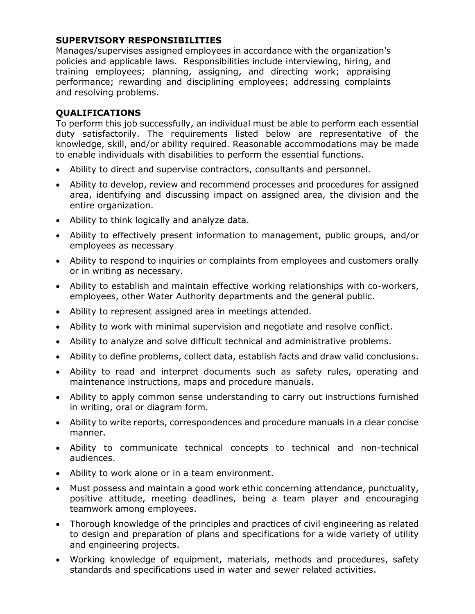#### **SUPERVISORY RESPONSIBILITIES**

Manages/supervises assigned employees in accordance with the organization's policies and applicable laws. Responsibilities include interviewing, hiring, and training employees; planning, assigning, and directing work; appraising performance; rewarding and disciplining employees; addressing complaints and resolving problems.

## **QUALIFICATIONS**

To perform this job successfully, an individual must be able to perform each essential duty satisfactorily. The requirements listed below are representative of the knowledge, skill, and/or ability required. Reasonable accommodations may be made to enable individuals with disabilities to perform the essential functions.

- Ability to direct and supervise contractors, consultants and personnel.
- Ability to develop, review and recommend processes and procedures for assigned area, identifying and discussing impact on assigned area, the division and the entire organization.
- Ability to think logically and analyze data.
- Ability to effectively present information to management, public groups, and/or employees as necessary
- Ability to respond to inquiries or complaints from employees and customers orally or in writing as necessary.
- Ability to establish and maintain effective working relationships with co-workers, employees, other Water Authority departments and the general public.
- Ability to represent assigned area in meetings attended.
- Ability to work with minimal supervision and negotiate and resolve conflict.
- Ability to analyze and solve difficult technical and administrative problems.
- Ability to define problems, collect data, establish facts and draw valid conclusions.
- Ability to read and interpret documents such as safety rules, operating and maintenance instructions, maps and procedure manuals.
- Ability to apply common sense understanding to carry out instructions furnished in writing, oral or diagram form.
- Ability to write reports, correspondences and procedure manuals in a clear concise manner.
- Ability to communicate technical concepts to technical and non-technical audiences.
- Ability to work alone or in a team environment.
- Must possess and maintain a good work ethic concerning attendance, punctuality, positive attitude, meeting deadlines, being a team player and encouraging teamwork among employees.
- Thorough knowledge of the principles and practices of civil engineering as related to design and preparation of plans and specifications for a wide variety of utility and engineering projects.
- Working knowledge of equipment, materials, methods and procedures, safety standards and specifications used in water and sewer related activities.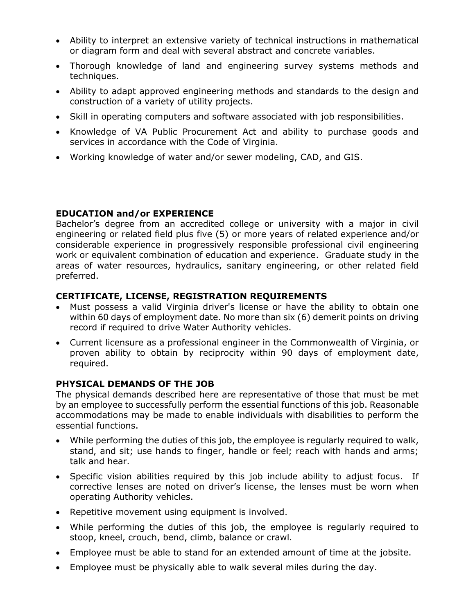- Ability to interpret an extensive variety of technical instructions in mathematical or diagram form and deal with several abstract and concrete variables.
- Thorough knowledge of land and engineering survey systems methods and techniques.
- Ability to adapt approved engineering methods and standards to the design and construction of a variety of utility projects.
- Skill in operating computers and software associated with job responsibilities.
- Knowledge of VA Public Procurement Act and ability to purchase goods and services in accordance with the Code of Virginia.
- Working knowledge of water and/or sewer modeling, CAD, and GIS.

## **EDUCATION and/or EXPERIENCE**

Bachelor's degree from an accredited college or university with a major in civil engineering or related field plus five (5) or more years of related experience and/or considerable experience in progressively responsible professional civil engineering work or equivalent combination of education and experience. Graduate study in the areas of water resources, hydraulics, sanitary engineering, or other related field preferred.

## **CERTIFICATE, LICENSE, REGISTRATION REQUIREMENTS**

- Must possess a valid Virginia driver's license or have the ability to obtain one within 60 days of employment date. No more than six (6) demerit points on driving record if required to drive Water Authority vehicles.
- Current licensure as a professional engineer in the Commonwealth of Virginia, or proven ability to obtain by reciprocity within 90 days of employment date, required.

#### **PHYSICAL DEMANDS OF THE JOB**

The physical demands described here are representative of those that must be met by an employee to successfully perform the essential functions of this job. Reasonable accommodations may be made to enable individuals with disabilities to perform the essential functions.

- While performing the duties of this job, the employee is regularly required to walk, stand, and sit; use hands to finger, handle or feel; reach with hands and arms; talk and hear.
- Specific vision abilities required by this job include ability to adjust focus. If corrective lenses are noted on driver's license, the lenses must be worn when operating Authority vehicles.
- Repetitive movement using equipment is involved.
- While performing the duties of this job, the employee is regularly required to stoop, kneel, crouch, bend, climb, balance or crawl.
- Employee must be able to stand for an extended amount of time at the jobsite.
- Employee must be physically able to walk several miles during the day.